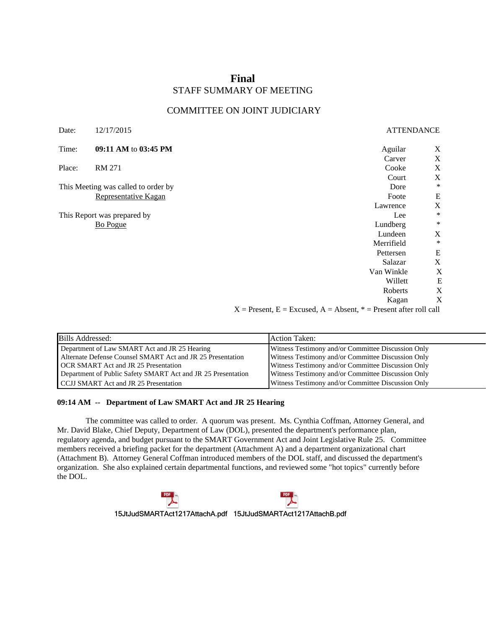# **Final** STAFF SUMMARY OF MEETING

## COMMITTEE ON JOINT JUDICIARY

| <b>ATTENDANCE</b> |                                                                           |
|-------------------|---------------------------------------------------------------------------|
| Aguilar           | X                                                                         |
| Carver            | $\mathbf X$                                                               |
| Cooke             | $\mathbf X$                                                               |
| Court             | X                                                                         |
| Dore              | $\ast$                                                                    |
| Foote             | E                                                                         |
| Lawrence          | X                                                                         |
| Lee               | $\ast$                                                                    |
| Lundberg          | $\ast$                                                                    |
| Lundeen           | X                                                                         |
| Merrifield        | $\ast$                                                                    |
| Pettersen         | ${\bf E}$                                                                 |
| Salazar           | $\mathbf X$                                                               |
| Van Winkle        | X                                                                         |
| Willett           | $\mathbf E$                                                               |
| Roberts           | X                                                                         |
| Kagan             | X                                                                         |
|                   | $X =$ Present, $E =$ Excused, $A =$ Absent, $* =$ Present after roll call |

| Bills Addressed:                                             | Action Taken:                                      |
|--------------------------------------------------------------|----------------------------------------------------|
| Department of Law SMART Act and JR 25 Hearing                | Witness Testimony and/or Committee Discussion Only |
| Alternate Defense Counsel SMART Act and JR 25 Presentation   | Witness Testimony and/or Committee Discussion Only |
| <b>OCR SMART Act and JR 25 Presentation</b>                  | Witness Testimony and/or Committee Discussion Only |
| Department of Public Safety SMART Act and JR 25 Presentation | Witness Testimony and/or Committee Discussion Only |
| CCJJ SMART Act and JR 25 Presentation                        | Witness Testimony and/or Committee Discussion Only |

## **09:14 AM -- Department of Law SMART Act and JR 25 Hearing**

The committee was called to order. A quorum was present. Ms. Cynthia Coffman, Attorney General, and Mr. David Blake, Chief Deputy, Department of Law (DOL), presented the department's performance plan, regulatory agenda, and budget pursuant to the SMART Government Act and Joint Legislative Rule 25. Committee members received a briefing packet for the department (Attachment A) and a department organizational chart (Attachment B). Attorney General Coffman introduced members of the DOL staff, and discussed the department's organization. She also explained certain departmental functions, and reviewed some "hot topics" currently before the DOL.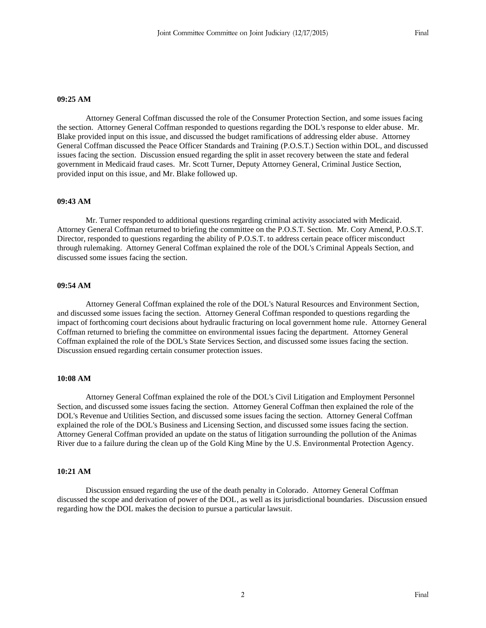#### **09:25 AM**

Attorney General Coffman discussed the role of the Consumer Protection Section, and some issues facing the section. Attorney General Coffman responded to questions regarding the DOL's response to elder abuse. Mr. Blake provided input on this issue, and discussed the budget ramifications of addressing elder abuse. Attorney General Coffman discussed the Peace Officer Standards and Training (P.O.S.T.) Section within DOL, and discussed issues facing the section. Discussion ensued regarding the split in asset recovery between the state and federal government in Medicaid fraud cases. Mr. Scott Turner, Deputy Attorney General, Criminal Justice Section, provided input on this issue, and Mr. Blake followed up.

#### **09:43 AM**

Mr. Turner responded to additional questions regarding criminal activity associated with Medicaid. Attorney General Coffman returned to briefing the committee on the P.O.S.T. Section. Mr. Cory Amend, P.O.S.T. Director, responded to questions regarding the ability of P.O.S.T. to address certain peace officer misconduct through rulemaking. Attorney General Coffman explained the role of the DOL's Criminal Appeals Section, and discussed some issues facing the section.

#### **09:54 AM**

Attorney General Coffman explained the role of the DOL's Natural Resources and Environment Section, and discussed some issues facing the section. Attorney General Coffman responded to questions regarding the impact of forthcoming court decisions about hydraulic fracturing on local government home rule. Attorney General Coffman returned to briefing the committee on environmental issues facing the department. Attorney General Coffman explained the role of the DOL's State Services Section, and discussed some issues facing the section. Discussion ensued regarding certain consumer protection issues.

#### **10:08 AM**

Attorney General Coffman explained the role of the DOL's Civil Litigation and Employment Personnel Section, and discussed some issues facing the section. Attorney General Coffman then explained the role of the DOL's Revenue and Utilities Section, and discussed some issues facing the section. Attorney General Coffman explained the role of the DOL's Business and Licensing Section, and discussed some issues facing the section. Attorney General Coffman provided an update on the status of litigation surrounding the pollution of the Animas River due to a failure during the clean up of the Gold King Mine by the U.S. Environmental Protection Agency.

#### **10:21 AM**

Discussion ensued regarding the use of the death penalty in Colorado. Attorney General Coffman discussed the scope and derivation of power of the DOL, as well as its jurisdictional boundaries. Discussion ensued regarding how the DOL makes the decision to pursue a particular lawsuit.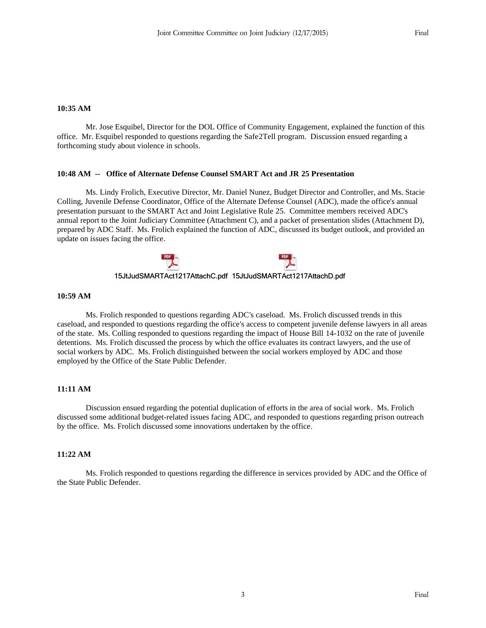#### **10:35 AM**

Mr. Jose Esquibel, Director for the DOL Office of Community Engagement, explained the function of this office. Mr. Esquibel responded to questions regarding the Safe2Tell program. Discussion ensued regarding a forthcoming study about violence in schools.

## **10:48 AM -- Office of Alternate Defense Counsel SMART Act and JR 25 Presentation**

Ms. Lindy Frolich, Executive Director, Mr. Daniel Nunez, Budget Director and Controller, and Ms. Stacie Colling, Juvenile Defense Coordinator, Office of the Alternate Defense Counsel (ADC), made the office's annual presentation pursuant to the SMART Act and Joint Legislative Rule 25. Committee members received ADC's annual report to the Joint Judiciary Committee (Attachment C), and a packet of presentation slides (Attachment D), prepared by ADC Staff. Ms. Frolich explained the function of ADC, discussed its budget outlook, and provided an update on issues facing the office.

## **10:59 AM**

Ms. Frolich responded to questions regarding ADC's caseload. Ms. Frolich discussed trends in this caseload, and responded to questions regarding the office's access to competent juvenile defense lawyers in all areas of the state. Ms. Colling responded to questions regarding the impact of House Bill 14-1032 on the rate of juvenile detentions. Ms. Frolich discussed the process by which the office evaluates its contract lawyers, and the use of social workers by ADC. Ms. Frolich distinguished between the social workers employed by ADC and those employed by the Office of the State Public Defender.

#### **11:11 AM**

Discussion ensued regarding the potential duplication of efforts in the area of social work. Ms. Frolich discussed some additional budget-related issues facing ADC, and responded to questions regarding prison outreach by the office. Ms. Frolich discussed some innovations undertaken by the office.

## **11:22 AM**

Ms. Frolich responded to questions regarding the difference in services provided by ADC and the Office of the State Public Defender.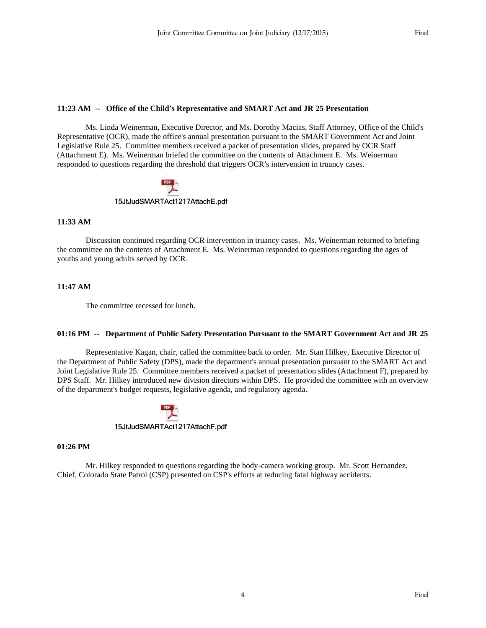## **11:23 AM -- Office of the Child's Representative and SMART Act and JR 25 Presentation**

Ms. Linda Weinerman, Executive Director, and Ms. Dorothy Macias, Staff Attorney, Office of the Child's Representative (OCR), made the office's annual presentation pursuant to the SMART Government Act and Joint Legislative Rule 25. Committee members received a packet of presentation slides, prepared by OCR Staff (Attachment E). Ms. Weinerman briefed the committee on the contents of Attachment E. Ms. Weinerman responded to questions regarding the threshold that triggers OCR's intervention in truancy cases.

## **11:33 AM**

Discussion continued regarding OCR intervention in truancy cases. Ms. Weinerman returned to briefing the committee on the contents of Attachment E. Ms. Weinerman responded to questions regarding the ages of youths and young adults served by OCR.

## **11:47 AM**

The committee recessed for lunch.

## **01:16 PM -- Department of Public Safety Presentation Pursuant to the SMART Government Act and JR 25**

Representative Kagan, chair, called the committee back to order. Mr. Stan Hilkey, Executive Director of the Department of Public Safety (DPS), made the department's annual presentation pursuant to the SMART Act and Joint Legislative Rule 25. Committee members received a packet of presentation slides (Attachment F), prepared by DPS Staff. Mr. Hilkey introduced new division directors within DPS. He provided the committee with an overview of the department's budget requests, legislative agenda, and regulatory agenda.

## **01:26 PM**

Mr. Hilkey responded to questions regarding the body-camera working group. Mr. Scott Hernandez, Chief, Colorado State Patrol (CSP) presented on CSP's efforts at reducing fatal highway accidents.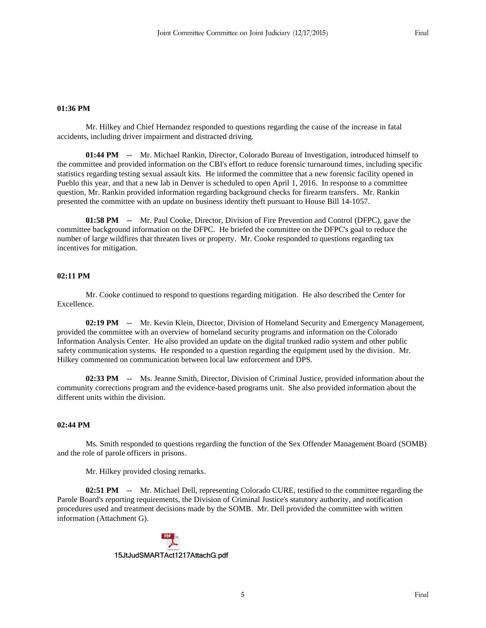#### **01:36 PM**

Mr. Hilkey and Chief Hernandez responded to questions regarding the cause of the increase in fatal accidents, including driver impairment and distracted driving.

**01:44 PM --** Mr. Michael Rankin, Director, Colorado Bureau of Investigation, introduced himself to the committee and provided information on the CBI's effort to reduce forensic turnaround times, including specific statistics regarding testing sexual assault kits. He informed the committee that a new forensic facility opened in Pueblo this year, and that a new lab in Denver is scheduled to open April 1, 2016. In response to a committee question, Mr. Rankin provided information regarding background checks for firearm transfers. Mr. Rankin presented the committee with an update on business identity theft pursuant to House Bill 14-1057.

**01:58 PM --** Mr. Paul Cooke, Director, Division of Fire Prevention and Control (DFPC), gave the committee background information on the DFPC. He briefed the committee on the DFPC's goal to reduce the number of large wildfires that threaten lives or property. Mr. Cooke responded to questions regarding tax incentives for mitigation.

#### **02:11 PM**

Mr. Cooke continued to respond to questions regarding mitigation. He also described the Center for Excellence.

**02:19 PM --** Mr. Kevin Klein, Director, Division of Homeland Security and Emergency Management, provided the committee with an overview of homeland security programs and information on the Colorado Information Analysis Center. He also provided an update on the digital trunked radio system and other public safety communication systems. He responded to a question regarding the equipment used by the division. Mr. Hilkey commented on communication between local law enforcement and DPS.

**02:33 PM --** Ms. Jeanne Smith, Director, Division of Criminal Justice, provided information about the community corrections program and the evidence-based programs unit. She also provided information about the different units within the division.

## **02:44 PM**

Ms. Smith responded to questions regarding the function of the Sex Offender Management Board (SOMB) and the role of parole officers in prisons.

Mr. Hilkey provided closing remarks.

**02:51 PM --** Mr. Michael Dell, representing Colorado CURE, testified to the committee regarding the Parole Board's reporting requirements, the Division of Criminal Justice's statutory authority, and notification procedures used and treatment decisions made by the SOMB. Mr. Dell provided the committee with written information (Attachment G).